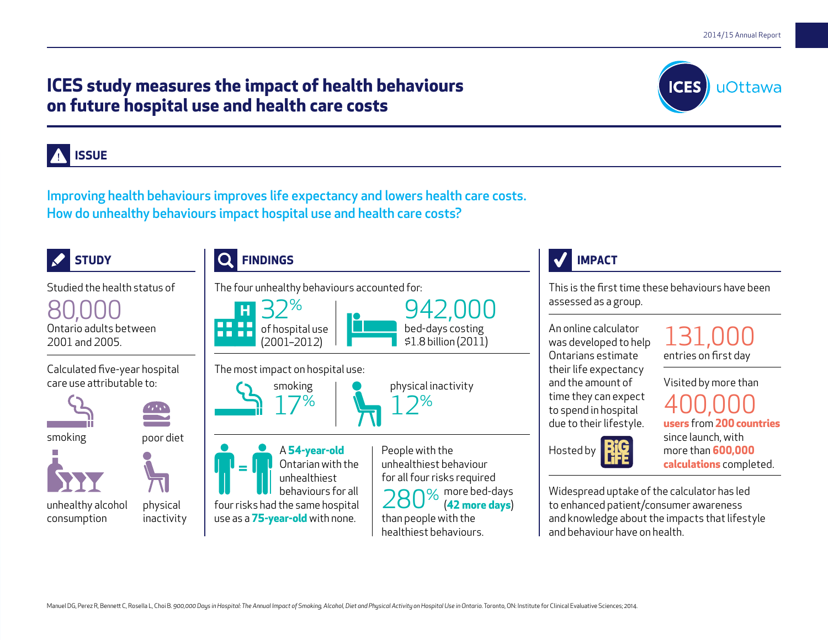Manuel DG, Perez R, Bennett C, Rosella L, Choi B. 900,000 Days in Hospital: The Annual Impact of Smoking, Alcohol, Diet and Physical Activity on Hospital Use in Ontario. Toronto, ON: Institute for Clinical Evaluative Scien

# **ICES study measures the impact of health behaviours on future hospital use and health care costs**

**ISSUE**

Improving health behaviours improves life expectancy and lowers health care costs. How do unhealthy behaviours impact hospital use and health care costs?

#### **STUDY FINDINGS IMPACT** Studied the health status of The four unhealthy behaviours accounted for: This is the first time these behaviours have been assessed as a group. 80,000 32% 942,000 . . . . Ontario adults between of hospital use bed-days costing An online calculator 131,000 . . . . \$1.8 billion (2011) 2001 and 2005. was developed to help (2001–2012) Ontarians estimate entries on first day Calculated five-year hospital The most impact on hospital use: their life expectancy Visited by more than care use attributable to: and the amount of physical inactivity smoking time they can expect 17% 400,000 12% to spend in hospital due to their lifestyle. **users** from **200countries** smoking poor diet since launch, with A **54-year-old**  People with the Hosted by more than **600,000** unhealthiest behaviour Ontarian with the **calculations** completed. = for all four risks required unhealthiest behaviours for all Widespread uptake of the calculator has led oz more bed-days physical four risks had the same hospital (**42 more days**) to enhanced patient/consumer awareness unhealthy alcohol use as a **75-year-old** with none. than people with the and knowledge about the impacts that lifestyle consumption inactivity healthiest behaviours. and behaviour have on health.

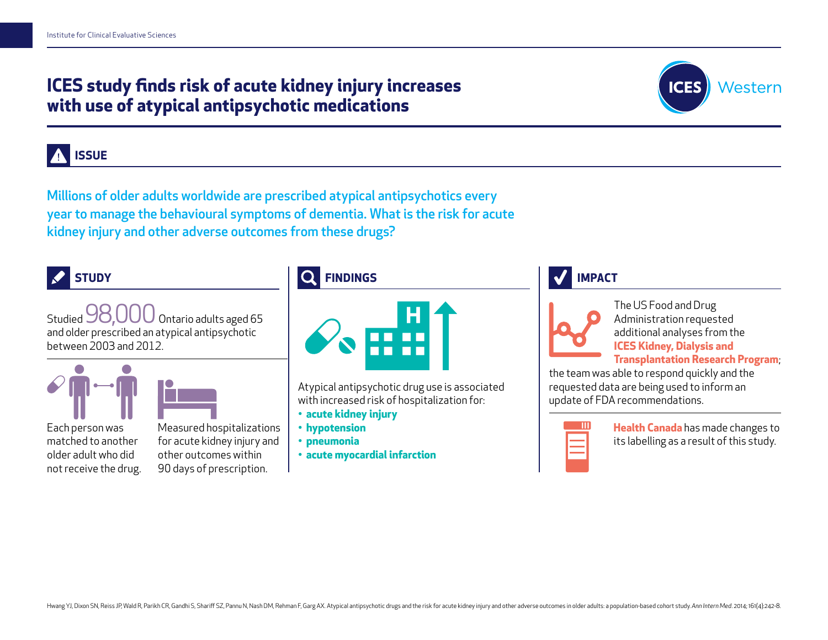# **ICES study finds risk of acute kidney injury increases with use of atypical antipsychotic medications**



#### **ISSUE**

Millions of older adults worldwide are prescribed atypical antipsychotics every year to manage the behavioural symptoms of dementia. What is the risk for acute kidney injury and other adverse outcomes from these drugs?



Studied 98,000 Ontario adults aged 65 and older prescribed an atypical antipsychotic between 2003 and 2012.





Each person was matched to another older adult who did not receive the drug. Measured hospitalizations for acute kidney injury and other outcomes within 90 days of prescription.

#### **FINDINGS**



Atypical antipsychotic drug use is associated with increased risk of hospitalization for:

- **acute kidney injury**
- **hypotension**
- **pneumonia**
- **acute myocardial infarction**

#### **IMPACT**



The US Food and Drug Administration requested additional analyses from the **ICES Kidney, Dialysis and Transplantation Research Program**;

the team was able to respond quickly and the requested data are being used to inform an update of FDA recommendations.



**Health Canada** has made changes to its labelling as a result of this study.

Hwang YJ, Dixon SN, Reiss JP, Wald R, Parikh CR, Gandhi S, Shariff SZ, Pannu N, Nash DM, Rehman F, Garg AX. Atypical antipsychotic drugs and the risk for acute kidney injury and other adverse outcomes in older adults: a po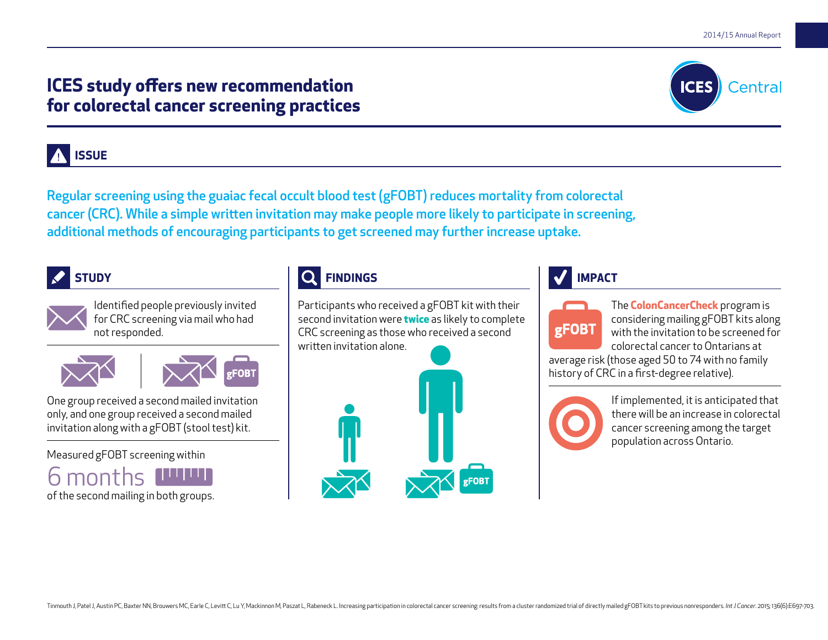# **ICES study offers new recommendation for colorectal cancer screening practices**



### **ISSUE**

Regular screening using the guaiac fecal occult blood test (gFOBT) reduces mortality from colorectal cancer (CRC). While a simple written invitation may make people more likely to participate in screening, additional methods of encouraging participants to get screened may further increase uptake.





Identified people previously invited for CRC screening via mail who had not responded.





One group received a second mailed invitation only, and one group received a second mailed invitation along with a gFOBT (stool test) kit.

Measured gFOBT screening within



# **FINDINGS**

Participants who received a gFOBT kit with their second invitation were **twice** as likely to complete CRC screening as those who received a second written invitation alone.



#### **IMPACT**



The **ColonCancerCheck** program is considering mailing gFOBT kits along with the invitation to be screened for colorectal cancer to Ontarians at

average risk (those aged 50 to 74 with no family history of CRC in a first-degree relative).

> If implemented, it is anticipated that there will be an increase in colorectal cancer screening among the target population across Ontario.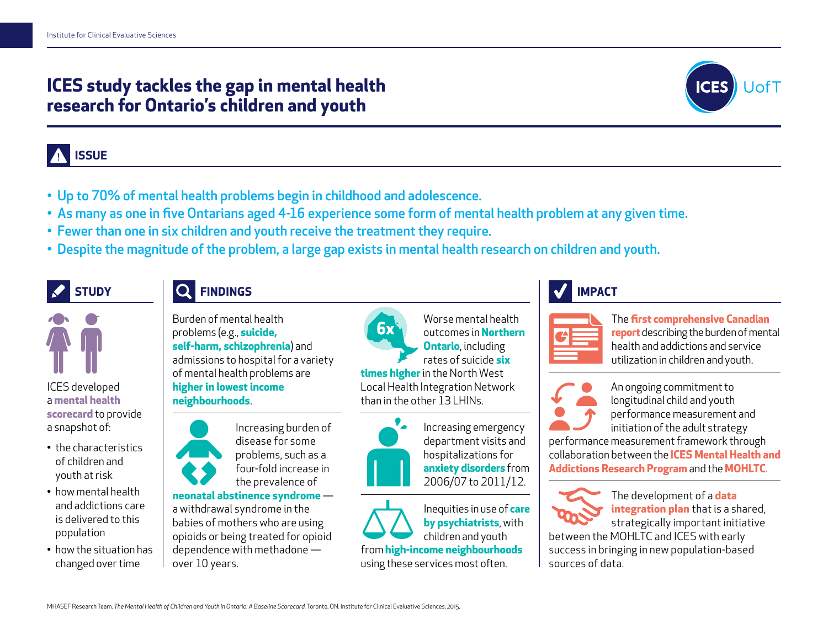# **ICES study tackles the gap in mental health research for Ontario's children and youth**



# **ISSUE**

- Up to 70% of mental health problems begin in childhood and adolescence.
- As many as one in five Ontarians aged 4-16 experience some form of mental health problem at any given time.
- Fewer than one in six children and youth receive the treatment they require.
- Despite the magnitude of the problem, a large gap exists in mental health research on children and youth.

# **STUDY**

ICES developed a **mental health scorecard** to provide a snapshot of:

• the characteristics of children and youth at risk • how mental health and addictions care is delivered to this

population

• how the situation has changed over time

#### **FINDINGS**

Burden of mental health problems (e.g., **suicide, self-harm, schizophrenia**) and admissions to hospital for a variety of mental health problems are **higher in lowest income neighbourhoods**.



Increasing burden of disease for some problems, such as a four-fold increase in the prevalence of

**neonatal abstinence syndrome** a withdrawal syndrome in the babies of mothers who are using opioids or being treated for opioid dependence with methadone over 10 years.



Worse mental health outcomes in **Northern Ontario**, including rates of suicide **six times higher** in the North West Local Health Integration Network than in the other 13 LHINs.



Increasing emergency department visits and hospitalizations for **anxiety disorders** from 2006/07 to 2011/12.

Inequities in use of **care by psychiatrists**, with children and youth

from **high-income neighbourhoods** using these services most often.

# **IMPACT**



The **first comprehensive Canadian report** describing the burden of mental

health and addictions and service utilization in children and youth.



An ongoing commitment to longitudinal child and youth performance measurement and initiation of the adult strategy

performance measurement framework through collaboration between the **ICES Mental Health and Addictions Research Program** and the **MOHLTC**.



The development of a **data integration plan** that is a shared, strategically important initiative

between the MOHLTC and ICES with early success in bringing in new population-based sources of data.